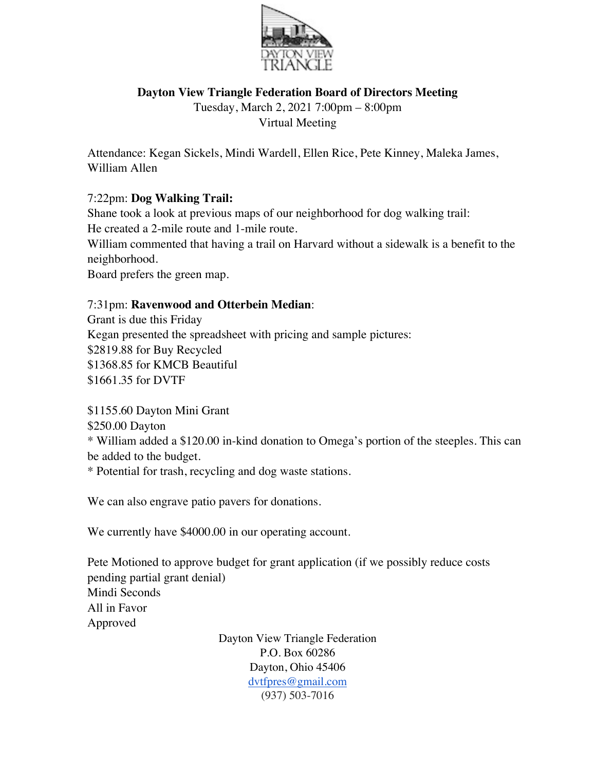

## **Dayton View Triangle Federation Board of Directors Meeting**

Tuesday, March 2, 2021 7:00pm – 8:00pm Virtual Meeting

Attendance: Kegan Sickels, Mindi Wardell, Ellen Rice, Pete Kinney, Maleka James, William Allen

## 7:22pm: **Dog Walking Trail:**

Shane took a look at previous maps of our neighborhood for dog walking trail: He created a 2-mile route and 1-mile route.

William commented that having a trail on Harvard without a sidewalk is a benefit to the neighborhood.

Board prefers the green map.

#### 7:31pm: **Ravenwood and Otterbein Median**:

Grant is due this Friday Kegan presented the spreadsheet with pricing and sample pictures: \$2819.88 for Buy Recycled \$1368.85 for KMCB Beautiful \$1661.35 for DVTF

\$1155.60 Dayton Mini Grant

\$250.00 Dayton

\* William added a \$120.00 in-kind donation to Omega's portion of the steeples. This can be added to the budget.

\* Potential for trash, recycling and dog waste stations.

We can also engrave patio pavers for donations.

We currently have \$4000.00 in our operating account.

Pete Motioned to approve budget for grant application (if we possibly reduce costs pending partial grant denial) Mindi Seconds All in Favor Approved

> Dayton View Triangle Federation P.O. Box 60286 Dayton, Ohio 45406 dvtfpres@gmail.com (937) 503-7016